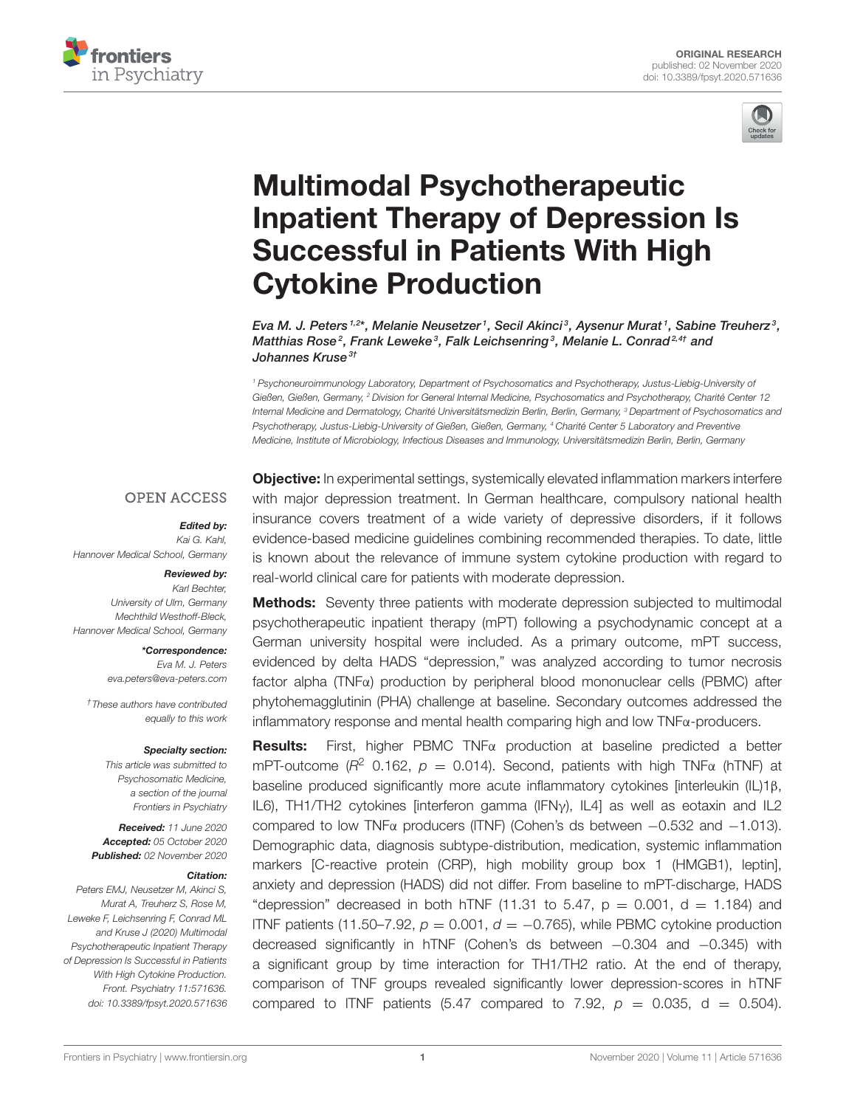



# Multimodal Psychotherapeutic [Inpatient Therapy of Depression Is](https://www.frontiersin.org/articles/10.3389/fpsyt.2020.571636/full) Successful in Patients With High Cytokine Production

Eva M. J. Peters 1.2\*, Melanie Neusetzer 1, Secil Akinci  $^3$ , Aysenur Murat 1, Sabine Treuherz  $^3$ , Matthias Rose<sup>2</sup>, Frank Leweke<sup>3</sup>, Falk Leichsenring<sup>3</sup>, Melanie L. Conrad<sup>2,4†</sup> and Johannes Kruse<sup>3†</sup>

<sup>1</sup> Psychoneuroimmunology Laboratory, Department of Psychosomatics and Psychotherapy, Justus-Liebig-University of Gießen, Gießen, Germany, <sup>2</sup> Division for General Internal Medicine, Psychosomatics and Psychotherapy, Charité Center 12 Internal Medicine and Dermatology, Charité Universitätsmedizin Berlin, Berlin, Germany, <sup>3</sup> Department of Psychosomatics and Psychotherapy, Justus-Liebig-University of Gießen, Gießen, Germany, <sup>4</sup> Charité Center 5 Laboratory and Preventive Medicine, Institute of Microbiology, Infectious Diseases and Immunology, Universitätsmedizin Berlin, Berlin, Germany

#### **OPEN ACCESS**

#### Edited by:

Kai G. Kahl, Hannover Medical School, Germany

#### Reviewed by:

Karl Bechter University of Ulm, Germany Mechthild Westhoff-Bleck, Hannover Medical School, Germany

> \*Correspondence: Eva M. J. Peters [eva.peters@eva-peters.com](mailto:eva.peters@eva-peters.com)

†These authors have contributed equally to this work

#### Specialty section:

This article was submitted to Psychosomatic Medicine, a section of the journal Frontiers in Psychiatry

Received: 11 June 2020 Accepted: 05 October 2020 Published: 02 November 2020

#### Citation:

Peters EMJ, Neusetzer M, Akinci S, Murat A, Treuherz S, Rose M, Leweke F, Leichsenring F, Conrad ML and Kruse J (2020) Multimodal Psychotherapeutic Inpatient Therapy of Depression Is Successful in Patients With High Cytokine Production. Front. Psychiatry 11:571636. doi: [10.3389/fpsyt.2020.571636](https://doi.org/10.3389/fpsyt.2020.571636) **Objective:** In experimental settings, systemically elevated inflammation markers interfere with major depression treatment. In German healthcare, compulsory national health insurance covers treatment of a wide variety of depressive disorders, if it follows evidence-based medicine guidelines combining recommended therapies. To date, little is known about the relevance of immune system cytokine production with regard to real-world clinical care for patients with moderate depression.

**Methods:** Seventy three patients with moderate depression subjected to multimodal psychotherapeutic inpatient therapy (mPT) following a psychodynamic concept at a German university hospital were included. As a primary outcome, mPT success, evidenced by delta HADS "depression," was analyzed according to tumor necrosis factor alpha (TNFα) production by peripheral blood mononuclear cells (PBMC) after phytohemagglutinin (PHA) challenge at baseline. Secondary outcomes addressed the inflammatory response and mental health comparing high and low TNFα-producers.

Results: First, higher PBMC TNFα production at baseline predicted a better mPT-outcome ( $R^2$  0.162,  $p = 0.014$ ). Second, patients with high TNF $\alpha$  (hTNF) at baseline produced significantly more acute inflammatory cytokines [interleukin (IL)1β, IL6), TH1/TH2 cytokines [interferon gamma (IFNγ), IL4] as well as eotaxin and IL2 compared to low TNFα producers (lTNF) (Cohen's ds between −0.532 and −1.013). Demographic data, diagnosis subtype-distribution, medication, systemic inflammation markers [C-reactive protein (CRP), high mobility group box 1 (HMGB1), leptin], anxiety and depression (HADS) did not differ. From baseline to mPT-discharge, HADS "depression" decreased in both hTNF (11.31 to 5.47,  $p = 0.001$ ,  $d = 1.184$ ) and ITNF patients (11.50–7.92,  $p = 0.001$ ,  $d = -0.765$ ), while PBMC cytokine production decreased significantly in hTNF (Cohen's ds between −0.304 and −0.345) with a significant group by time interaction for TH1/TH2 ratio. At the end of therapy, comparison of TNF groups revealed significantly lower depression-scores in hTNF compared to ITNF patients (5.47 compared to 7.92,  $p = 0.035$ , d = 0.504).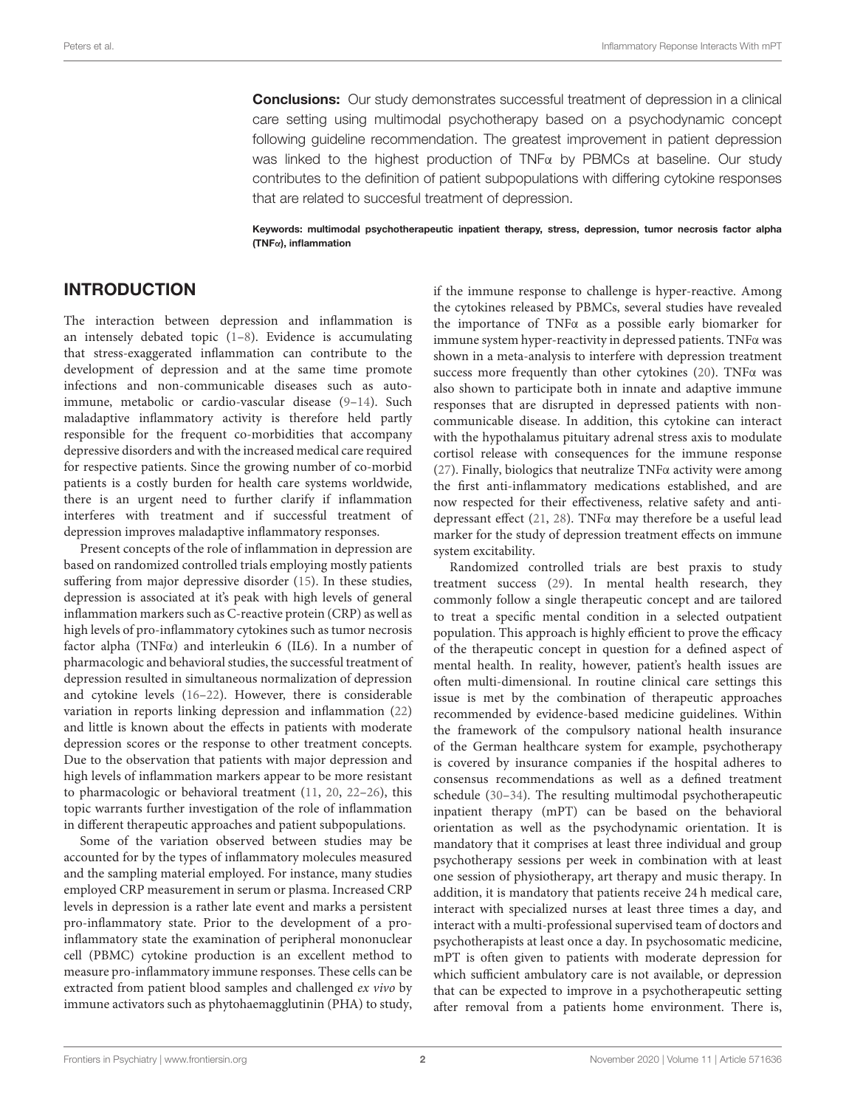**Conclusions:** Our study demonstrates successful treatment of depression in a clinical care setting using multimodal psychotherapy based on a psychodynamic concept following guideline recommendation. The greatest improvement in patient depression was linked to the highest production of TNFα by PBMCs at baseline. Our study contributes to the definition of patient subpopulations with differing cytokine responses that are related to succesful treatment of depression.

Keywords: multimodal psychotherapeutic inpatient therapy, stress, depression, tumor necrosis factor alpha (TNFα), inflammation

#### INTRODUCTION

The interaction between depression and inflammation is an intensely debated topic [\(1–](#page-10-0)[8\)](#page-11-0). Evidence is accumulating that stress-exaggerated inflammation can contribute to the development of depression and at the same time promote infections and non-communicable diseases such as autoimmune, metabolic or cardio-vascular disease [\(9](#page-11-1)[–14\)](#page-11-2). Such maladaptive inflammatory activity is therefore held partly responsible for the frequent co-morbidities that accompany depressive disorders and with the increased medical care required for respective patients. Since the growing number of co-morbid patients is a costly burden for health care systems worldwide, there is an urgent need to further clarify if inflammation interferes with treatment and if successful treatment of depression improves maladaptive inflammatory responses.

Present concepts of the role of inflammation in depression are based on randomized controlled trials employing mostly patients suffering from major depressive disorder [\(15\)](#page-11-3). In these studies, depression is associated at it's peak with high levels of general inflammation markers such as C-reactive protein (CRP) as well as high levels of pro-inflammatory cytokines such as tumor necrosis factor alpha (TNFα) and interleukin 6 (IL6). In a number of pharmacologic and behavioral studies, the successful treatment of depression resulted in simultaneous normalization of depression and cytokine levels [\(16](#page-11-4)[–22\)](#page-11-5). However, there is considerable variation in reports linking depression and inflammation [\(22\)](#page-11-5) and little is known about the effects in patients with moderate depression scores or the response to other treatment concepts. Due to the observation that patients with major depression and high levels of inflammation markers appear to be more resistant to pharmacologic or behavioral treatment [\(11,](#page-11-6) [20,](#page-11-7) [22](#page-11-5)[–26\)](#page-11-8), this topic warrants further investigation of the role of inflammation in different therapeutic approaches and patient subpopulations.

Some of the variation observed between studies may be accounted for by the types of inflammatory molecules measured and the sampling material employed. For instance, many studies employed CRP measurement in serum or plasma. Increased CRP levels in depression is a rather late event and marks a persistent pro-inflammatory state. Prior to the development of a proinflammatory state the examination of peripheral mononuclear cell (PBMC) cytokine production is an excellent method to measure pro-inflammatory immune responses. These cells can be extracted from patient blood samples and challenged ex vivo by immune activators such as phytohaemagglutinin (PHA) to study, if the immune response to challenge is hyper-reactive. Among the cytokines released by PBMCs, several studies have revealed the importance of TNFα as a possible early biomarker for immune system hyper-reactivity in depressed patients. TNFα was shown in a meta-analysis to interfere with depression treatment success more frequently than other cytokines [\(20\)](#page-11-7). TNFα was also shown to participate both in innate and adaptive immune responses that are disrupted in depressed patients with noncommunicable disease. In addition, this cytokine can interact with the hypothalamus pituitary adrenal stress axis to modulate cortisol release with consequences for the immune response [\(27\)](#page-11-9). Finally, biologics that neutralize TNFα activity were among the first anti-inflammatory medications established, and are now respected for their effectiveness, relative safety and antidepressant effect [\(21,](#page-11-10) [28\)](#page-11-11). TNFα may therefore be a useful lead marker for the study of depression treatment effects on immune system excitability.

Randomized controlled trials are best praxis to study treatment success [\(29\)](#page-11-12). In mental health research, they commonly follow a single therapeutic concept and are tailored to treat a specific mental condition in a selected outpatient population. This approach is highly efficient to prove the efficacy of the therapeutic concept in question for a defined aspect of mental health. In reality, however, patient's health issues are often multi-dimensional. In routine clinical care settings this issue is met by the combination of therapeutic approaches recommended by evidence-based medicine guidelines. Within the framework of the compulsory national health insurance of the German healthcare system for example, psychotherapy is covered by insurance companies if the hospital adheres to consensus recommendations as well as a defined treatment schedule [\(30–](#page-11-13)[34\)](#page-11-14). The resulting multimodal psychotherapeutic inpatient therapy (mPT) can be based on the behavioral orientation as well as the psychodynamic orientation. It is mandatory that it comprises at least three individual and group psychotherapy sessions per week in combination with at least one session of physiotherapy, art therapy and music therapy. In addition, it is mandatory that patients receive 24 h medical care, interact with specialized nurses at least three times a day, and interact with a multi-professional supervised team of doctors and psychotherapists at least once a day. In psychosomatic medicine, mPT is often given to patients with moderate depression for which sufficient ambulatory care is not available, or depression that can be expected to improve in a psychotherapeutic setting after removal from a patients home environment. There is,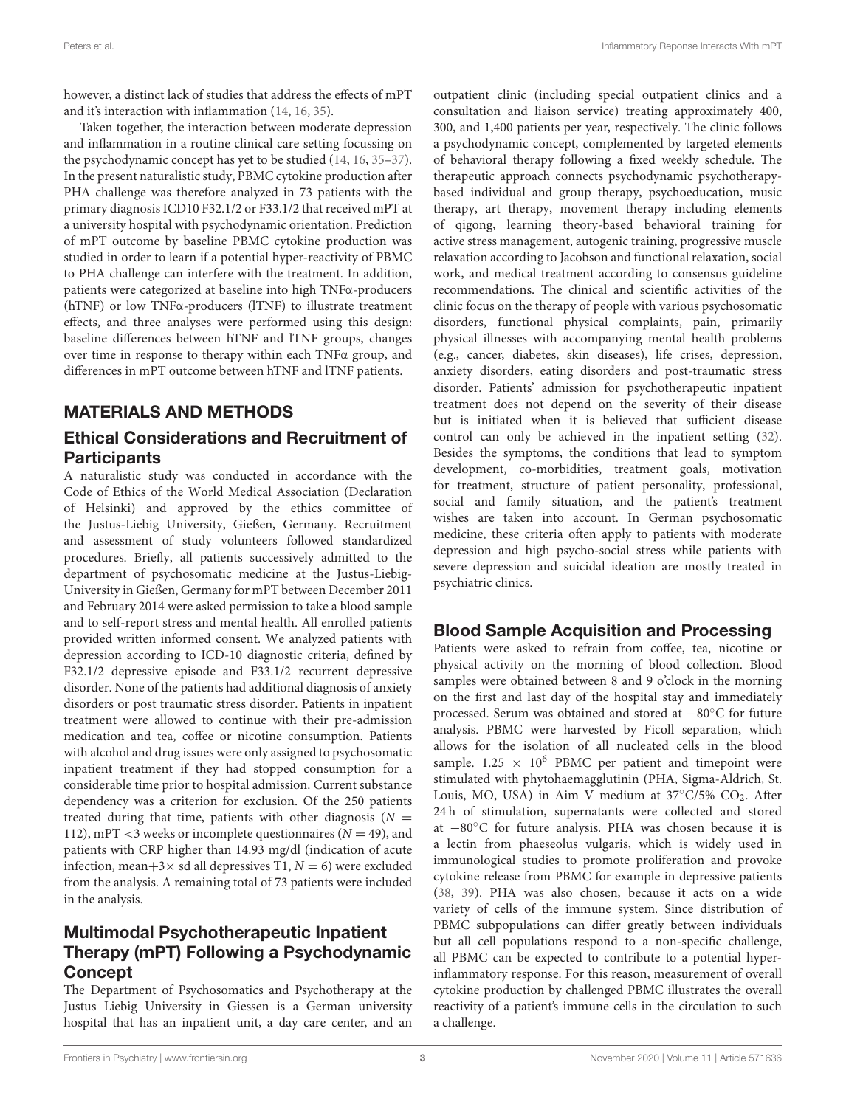however, a distinct lack of studies that address the effects of mPT and it's interaction with inflammation [\(14,](#page-11-2) [16,](#page-11-4) [35\)](#page-11-15).

Taken together, the interaction between moderate depression and inflammation in a routine clinical care setting focussing on the psychodynamic concept has yet to be studied [\(14,](#page-11-2) [16,](#page-11-4) [35–](#page-11-15)[37\)](#page-11-16). In the present naturalistic study, PBMC cytokine production after PHA challenge was therefore analyzed in 73 patients with the primary diagnosis ICD10 F32.1/2 or F33.1/2 that received mPT at a university hospital with psychodynamic orientation. Prediction of mPT outcome by baseline PBMC cytokine production was studied in order to learn if a potential hyper-reactivity of PBMC to PHA challenge can interfere with the treatment. In addition, patients were categorized at baseline into high TNFα-producers (hTNF) or low TNFα-producers (lTNF) to illustrate treatment effects, and three analyses were performed using this design: baseline differences between hTNF and lTNF groups, changes over time in response to therapy within each TNFα group, and differences in mPT outcome between hTNF and lTNF patients.

#### MATERIALS AND METHODS

#### Ethical Considerations and Recruitment of **Participants**

A naturalistic study was conducted in accordance with the Code of Ethics of the World Medical Association (Declaration of Helsinki) and approved by the ethics committee of the Justus-Liebig University, Gießen, Germany. Recruitment and assessment of study volunteers followed standardized procedures. Briefly, all patients successively admitted to the department of psychosomatic medicine at the Justus-Liebig-University in Gießen, Germany for mPT between December 2011 and February 2014 were asked permission to take a blood sample and to self-report stress and mental health. All enrolled patients provided written informed consent. We analyzed patients with depression according to ICD-10 diagnostic criteria, defined by F32.1/2 depressive episode and F33.1/2 recurrent depressive disorder. None of the patients had additional diagnosis of anxiety disorders or post traumatic stress disorder. Patients in inpatient treatment were allowed to continue with their pre-admission medication and tea, coffee or nicotine consumption. Patients with alcohol and drug issues were only assigned to psychosomatic inpatient treatment if they had stopped consumption for a considerable time prior to hospital admission. Current substance dependency was a criterion for exclusion. Of the 250 patients treated during that time, patients with other diagnosis  $(N =$ 112), mPT <3 weeks or incomplete questionnaires ( $N = 49$ ), and patients with CRP higher than 14.93 mg/dl (indication of acute infection, mean+3 $\times$  sd all depressives T1,  $N = 6$ ) were excluded from the analysis. A remaining total of 73 patients were included in the analysis.

### Multimodal Psychotherapeutic Inpatient Therapy (mPT) Following a Psychodynamic Concept

The Department of Psychosomatics and Psychotherapy at the Justus Liebig University in Giessen is a German university hospital that has an inpatient unit, a day care center, and an outpatient clinic (including special outpatient clinics and a consultation and liaison service) treating approximately 400, 300, and 1,400 patients per year, respectively. The clinic follows a psychodynamic concept, complemented by targeted elements of behavioral therapy following a fixed weekly schedule. The therapeutic approach connects psychodynamic psychotherapybased individual and group therapy, psychoeducation, music therapy, art therapy, movement therapy including elements of qigong, learning theory-based behavioral training for active stress management, autogenic training, progressive muscle relaxation according to Jacobson and functional relaxation, social work, and medical treatment according to consensus guideline recommendations. The clinical and scientific activities of the clinic focus on the therapy of people with various psychosomatic disorders, functional physical complaints, pain, primarily physical illnesses with accompanying mental health problems (e.g., cancer, diabetes, skin diseases), life crises, depression, anxiety disorders, eating disorders and post-traumatic stress disorder. Patients' admission for psychotherapeutic inpatient treatment does not depend on the severity of their disease but is initiated when it is believed that sufficient disease control can only be achieved in the inpatient setting [\(32\)](#page-11-17). Besides the symptoms, the conditions that lead to symptom development, co-morbidities, treatment goals, motivation for treatment, structure of patient personality, professional, social and family situation, and the patient's treatment wishes are taken into account. In German psychosomatic medicine, these criteria often apply to patients with moderate depression and high psycho-social stress while patients with severe depression and suicidal ideation are mostly treated in psychiatric clinics.

#### Blood Sample Acquisition and Processing

Patients were asked to refrain from coffee, tea, nicotine or physical activity on the morning of blood collection. Blood samples were obtained between 8 and 9 o'clock in the morning on the first and last day of the hospital stay and immediately processed. Serum was obtained and stored at −80◦C for future analysis. PBMC were harvested by Ficoll separation, which allows for the isolation of all nucleated cells in the blood sample.  $1.25 \times 10^6$  PBMC per patient and timepoint were stimulated with phytohaemagglutinin (PHA, Sigma-Aldrich, St. Louis, MO, USA) in Aim V medium at 37°C/5% CO<sub>2</sub>. After 24 h of stimulation, supernatants were collected and stored at −80◦C for future analysis. PHA was chosen because it is a lectin from phaeseolus vulgaris, which is widely used in immunological studies to promote proliferation and provoke cytokine release from PBMC for example in depressive patients [\(38,](#page-11-18) [39\)](#page-11-19). PHA was also chosen, because it acts on a wide variety of cells of the immune system. Since distribution of PBMC subpopulations can differ greatly between individuals but all cell populations respond to a non-specific challenge, all PBMC can be expected to contribute to a potential hyperinflammatory response. For this reason, measurement of overall cytokine production by challenged PBMC illustrates the overall reactivity of a patient's immune cells in the circulation to such a challenge.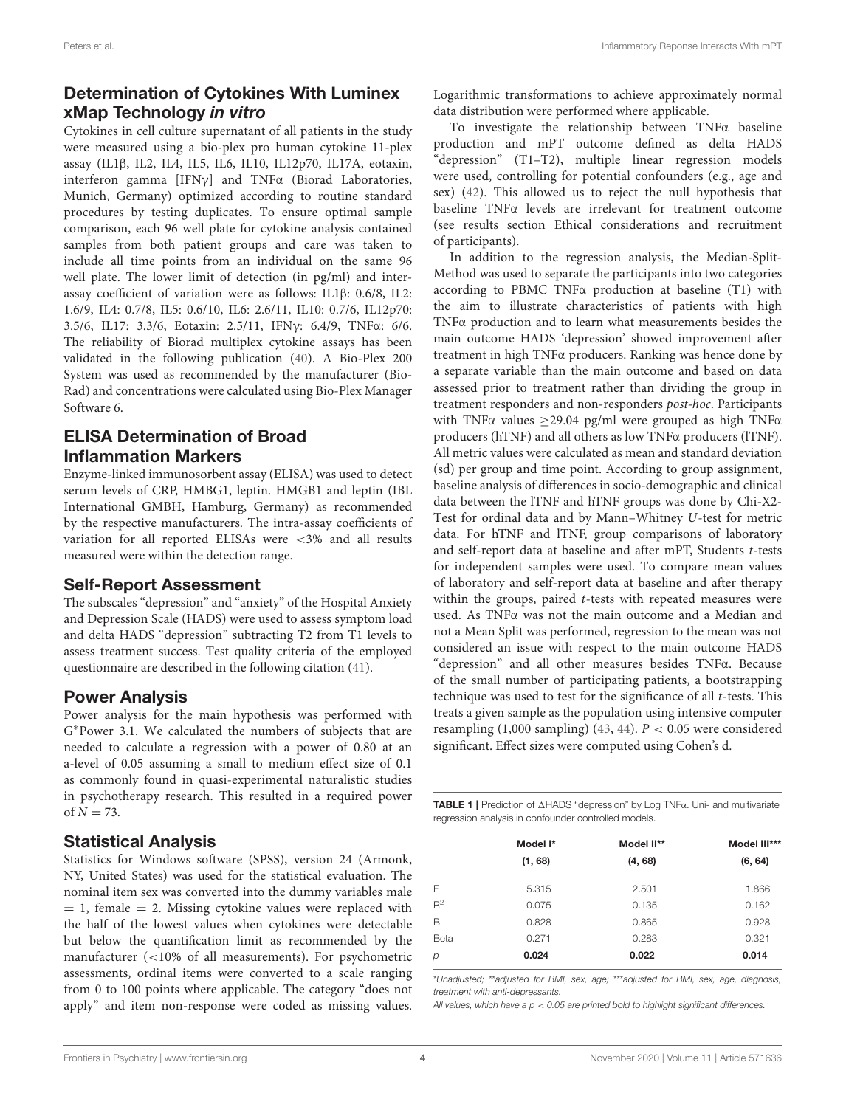#### Determination of Cytokines With Luminex xMap Technology in vitro

Cytokines in cell culture supernatant of all patients in the study were measured using a bio-plex pro human cytokine 11-plex assay (IL1β, IL2, IL4, IL5, IL6, IL10, IL12p70, IL17A, eotaxin, interferon gamma [IFNγ] and TNFα (Biorad Laboratories, Munich, Germany) optimized according to routine standard procedures by testing duplicates. To ensure optimal sample comparison, each 96 well plate for cytokine analysis contained samples from both patient groups and care was taken to include all time points from an individual on the same 96 well plate. The lower limit of detection (in pg/ml) and interassay coefficient of variation were as follows: IL1β: 0.6/8, IL2: 1.6/9, IL4: 0.7/8, IL5: 0.6/10, IL6: 2.6/11, IL10: 0.7/6, IL12p70: 3.5/6, IL17: 3.3/6, Eotaxin: 2.5/11, IFNγ: 6.4/9, TNFα: 6/6. The reliability of Biorad multiplex cytokine assays has been validated in the following publication [\(40\)](#page-11-20). A Bio-Plex 200 System was used as recommended by the manufacturer (Bio-Rad) and concentrations were calculated using Bio-Plex Manager Software 6.

### ELISA Determination of Broad Inflammation Markers

Enzyme-linked immunosorbent assay (ELISA) was used to detect serum levels of CRP, HMBG1, leptin. HMGB1 and leptin (IBL International GMBH, Hamburg, Germany) as recommended by the respective manufacturers. The intra-assay coefficients of variation for all reported ELISAs were <3% and all results measured were within the detection range.

#### Self-Report Assessment

The subscales "depression" and "anxiety" of the Hospital Anxiety and Depression Scale (HADS) were used to assess symptom load and delta HADS "depression" subtracting T2 from T1 levels to assess treatment success. Test quality criteria of the employed questionnaire are described in the following citation [\(41\)](#page-11-21).

#### Power Analysis

Power analysis for the main hypothesis was performed with G <sup>∗</sup>Power 3.1. We calculated the numbers of subjects that are needed to calculate a regression with a power of 0.80 at an a-level of 0.05 assuming a small to medium effect size of 0.1 as commonly found in quasi-experimental naturalistic studies in psychotherapy research. This resulted in a required power of  $N = 73$ .

#### Statistical Analysis

Statistics for Windows software (SPSS), version 24 (Armonk, NY, United States) was used for the statistical evaluation. The nominal item sex was converted into the dummy variables male  $= 1$ , female  $= 2$ . Missing cytokine values were replaced with the half of the lowest values when cytokines were detectable but below the quantification limit as recommended by the manufacturer (<10% of all measurements). For psychometric assessments, ordinal items were converted to a scale ranging from 0 to 100 points where applicable. The category "does not apply" and item non-response were coded as missing values. Logarithmic transformations to achieve approximately normal data distribution were performed where applicable.

To investigate the relationship between TNFα baseline production and mPT outcome defined as delta HADS "depression" (T1–T2), multiple linear regression models were used, controlling for potential confounders (e.g., age and sex) [\(42\)](#page-11-22). This allowed us to reject the null hypothesis that baseline TNFα levels are irrelevant for treatment outcome (see results section Ethical considerations and recruitment of participants).

In addition to the regression analysis, the Median-Split-Method was used to separate the participants into two categories according to PBMC TNFα production at baseline (T1) with the aim to illustrate characteristics of patients with high TNFα production and to learn what measurements besides the main outcome HADS 'depression' showed improvement after treatment in high TNFα producers. Ranking was hence done by a separate variable than the main outcome and based on data assessed prior to treatment rather than dividing the group in treatment responders and non-responders post-hoc. Participants with TNF $\alpha$  values >29.04 pg/ml were grouped as high TNF $\alpha$ producers (hTNF) and all others as low TNFα producers (lTNF). All metric values were calculated as mean and standard deviation (sd) per group and time point. According to group assignment, baseline analysis of differences in socio-demographic and clinical data between the lTNF and hTNF groups was done by Chi-X2- Test for ordinal data and by Mann–Whitney U-test for metric data. For hTNF and lTNF, group comparisons of laboratory and self-report data at baseline and after mPT, Students t-tests for independent samples were used. To compare mean values of laboratory and self-report data at baseline and after therapy within the groups, paired  $t$ -tests with repeated measures were used. As TNFα was not the main outcome and a Median and not a Mean Split was performed, regression to the mean was not considered an issue with respect to the main outcome HADS "depression" and all other measures besides TNFα. Because of the small number of participating patients, a bootstrapping technique was used to test for the significance of all *t*-tests. This treats a given sample as the population using intensive computer resampling (1,000 sampling) [\(43,](#page-12-0) [44\)](#page-12-1).  $P < 0.05$  were considered significant. Effect sizes were computed using Cohen's d.

<span id="page-3-0"></span>TABLE 1 | Prediction of ΔHADS "depression" by Log TNFα. Uni- and multivariate regression analysis in confounder controlled models.

|       | Model I* | Model II** | Model III*** |  |
|-------|----------|------------|--------------|--|
|       | (1, 68)  | (4, 68)    | (6, 64)      |  |
| F     | 5.315    | 2.501      | 1.866        |  |
| $R^2$ | 0.075    | 0.135      | 0.162        |  |
| B     | $-0.828$ | $-0.865$   | $-0.928$     |  |
| Beta  | $-0.271$ | $-0.283$   | $-0.321$     |  |
| p     | 0.024    | 0.022      | 0.014        |  |

\*Unadjusted; \*\*adjusted for BMI, sex, age; \*\*\*adjusted for BMI, sex, age, diagnosis, treatment with anti-depressants.

All values, which have a  $p < 0.05$  are printed bold to highlight significant differences.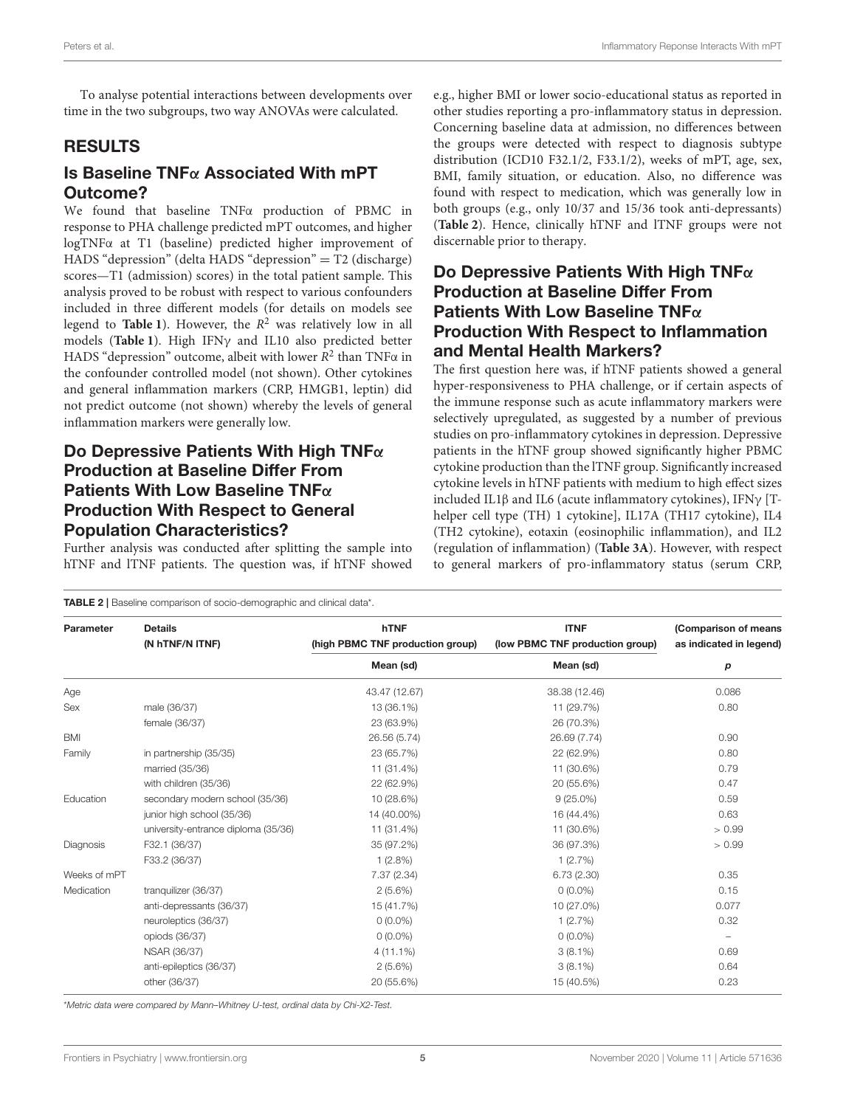To analyse potential interactions between developments over time in the two subgroups, two way ANOVAs were calculated.

#### RESULTS

#### Is Baseline TNFα Associated With mPT Outcome?

We found that baseline TNFα production of PBMC in response to PHA challenge predicted mPT outcomes, and higher logTNFα at T1 (baseline) predicted higher improvement of HADS "depression" (delta HADS "depression" = T2 (discharge) scores—T1 (admission) scores) in the total patient sample. This analysis proved to be robust with respect to various confounders included in three different models (for details on models see legend to **[Table 1](#page-3-0)**). However, the  $R^2$  was relatively low in all models (**[Table 1](#page-3-0)**). High IFNγ and IL10 also predicted better HADS "depression" outcome, albeit with lower  $R^2$  than TNF $\alpha$  in the confounder controlled model (not shown). Other cytokines and general inflammation markers (CRP, HMGB1, leptin) did not predict outcome (not shown) whereby the levels of general inflammation markers were generally low.

### Do Depressive Patients With High TNFα Production at Baseline Differ From Patients With Low Baseline TNFα Production With Respect to General Population Characteristics?

Further analysis was conducted after splitting the sample into hTNF and lTNF patients. The question was, if hTNF showed e.g., higher BMI or lower socio-educational status as reported in other studies reporting a pro-inflammatory status in depression. Concerning baseline data at admission, no differences between the groups were detected with respect to diagnosis subtype distribution (ICD10 F32.1/2, F33.1/2), weeks of mPT, age, sex, BMI, family situation, or education. Also, no difference was found with respect to medication, which was generally low in both groups (e.g., only 10/37 and 15/36 took anti-depressants) (**[Table 2](#page-4-0)**). Hence, clinically hTNF and lTNF groups were not discernable prior to therapy.

### Do Depressive Patients With High TNF $\alpha$ Production at Baseline Differ From Patients With Low Baseline TNFα Production With Respect to Inflammation and Mental Health Markers?

The first question here was, if hTNF patients showed a general hyper-responsiveness to PHA challenge, or if certain aspects of the immune response such as acute inflammatory markers were selectively upregulated, as suggested by a number of previous studies on pro-inflammatory cytokines in depression. Depressive patients in the hTNF group showed significantly higher PBMC cytokine production than the lTNF group. Significantly increased cytokine levels in hTNF patients with medium to high effect sizes included IL1β and IL6 (acute inflammatory cytokines), IFN $\gamma$  [Thelper cell type (TH) 1 cytokine], IL17A (TH17 cytokine), IL4 (TH2 cytokine), eotaxin (eosinophilic inflammation), and IL2 (regulation of inflammation) (**[Table 3A](#page-5-0)**). However, with respect to general markers of pro-inflammatory status (serum CRP,

<span id="page-4-0"></span>

|  |  |  |  | TABLE 2   Baseline comparison of socio-demographic and clinical data*. |  |  |  |
|--|--|--|--|------------------------------------------------------------------------|--|--|--|
|--|--|--|--|------------------------------------------------------------------------|--|--|--|

| Parameter    | <b>Details</b><br>(N hTNF/N ITNF)   | <b>hTNF</b><br>(high PBMC TNF production group) | <b>ITNF</b><br>(low PBMC TNF production group) | (Comparison of means<br>as indicated in legend) |  |
|--------------|-------------------------------------|-------------------------------------------------|------------------------------------------------|-------------------------------------------------|--|
|              |                                     | Mean (sd)                                       | Mean (sd)                                      | р                                               |  |
| Age          |                                     | 43.47 (12.67)                                   | 38.38 (12.46)                                  | 0.086                                           |  |
| Sex          | male (36/37)                        | 13 (36.1%)                                      | 11 (29.7%)                                     | 0.80                                            |  |
|              | female (36/37)                      | 23 (63.9%)                                      | 26 (70.3%)                                     |                                                 |  |
| <b>BMI</b>   |                                     | 26.56 (5.74)                                    | 26.69 (7.74)                                   | 0.90                                            |  |
| Family       | in partnership (35/35)              | 23 (65.7%)                                      | 22 (62.9%)                                     | 0.80                                            |  |
|              | married (35/36)                     | 11 (31.4%)                                      | 11 (30.6%)                                     | 0.79                                            |  |
|              | with children (35/36)               | 22 (62.9%)                                      | 20 (55.6%)                                     | 0.47                                            |  |
| Education    | secondary modern school (35/36)     | 10 (28.6%)                                      | $9(25.0\%)$                                    | 0.59                                            |  |
|              | junior high school (35/36)          | 14 (40.00%)                                     | 16 (44.4%)                                     | 0.63                                            |  |
|              | university-entrance diploma (35/36) | 11 (31.4%)                                      | 11 (30.6%)                                     | > 0.99                                          |  |
| Diagnosis    | F32.1 (36/37)                       | 35 (97.2%)                                      | 36 (97.3%)                                     | > 0.99                                          |  |
|              | F33.2 (36/37)                       | $1(2.8\%)$                                      | 1(2.7%)                                        |                                                 |  |
| Weeks of mPT |                                     | 7.37(2.34)                                      | 6.73(2.30)                                     | 0.35                                            |  |
| Medication   | tranquilizer (36/37)                | $2(5.6\%)$                                      | $0(0.0\%)$                                     | 0.15                                            |  |
|              | anti-depressants (36/37)            | 15 (41.7%)                                      | 10 (27.0%)                                     | 0.077                                           |  |
|              | neuroleptics (36/37)                | $0(0.0\%)$                                      | 1(2.7%)                                        | 0.32                                            |  |
|              | opiods (36/37)                      | $0(0.0\%)$                                      | $0(0.0\%)$                                     | $\overline{\phantom{m}}$                        |  |
|              | NSAR (36/37)                        | $4(11.1\%)$                                     | $3(8.1\%)$                                     | 0.69                                            |  |
|              | anti-epileptics (36/37)             | $2(5.6\%)$                                      | $3(8.1\%)$                                     | 0.64                                            |  |
|              | other (36/37)                       | 20 (55.6%)                                      | 15 (40.5%)                                     | 0.23                                            |  |
|              |                                     |                                                 |                                                |                                                 |  |

\*Metric data were compared by Mann–Whitney U-test, ordinal data by Chi-X2-Test.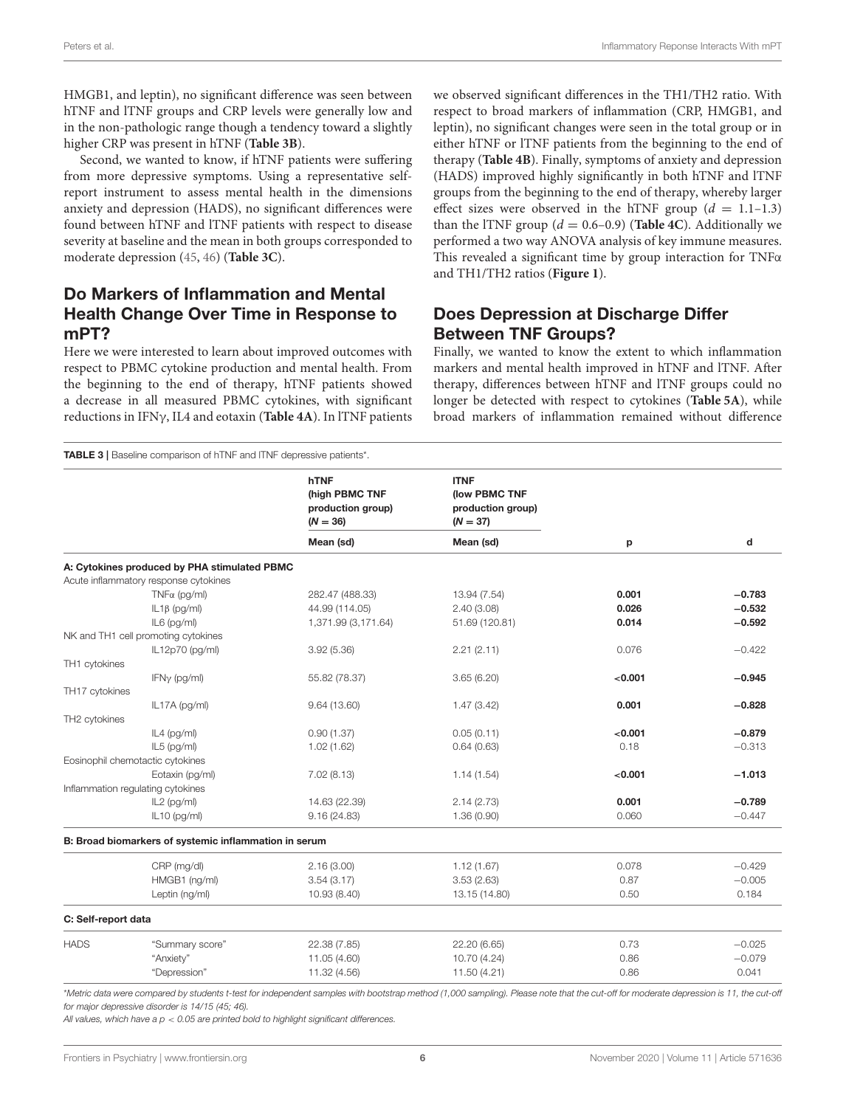HMGB1, and leptin), no significant difference was seen between hTNF and lTNF groups and CRP levels were generally low and in the non-pathologic range though a tendency toward a slightly higher CRP was present in hTNF (**[Table 3B](#page-5-0)**).

Second, we wanted to know, if hTNF patients were suffering from more depressive symptoms. Using a representative selfreport instrument to assess mental health in the dimensions anxiety and depression (HADS), no significant differences were found between hTNF and lTNF patients with respect to disease severity at baseline and the mean in both groups corresponded to moderate depression [\(45,](#page-12-2) [46\)](#page-12-3) (**[Table 3C](#page-5-0)**).

### Do Markers of Inflammation and Mental Health Change Over Time in Response to mPT?

Here we were interested to learn about improved outcomes with respect to PBMC cytokine production and mental health. From the beginning to the end of therapy, hTNF patients showed a decrease in all measured PBMC cytokines, with significant reductions in IFNγ, IL4 and eotaxin (**[Table 4A](#page-6-0)**). In lTNF patients we observed significant differences in the TH1/TH2 ratio. With respect to broad markers of inflammation (CRP, HMGB1, and leptin), no significant changes were seen in the total group or in either hTNF or lTNF patients from the beginning to the end of therapy (**[Table 4B](#page-6-0)**). Finally, symptoms of anxiety and depression (HADS) improved highly significantly in both hTNF and lTNF groups from the beginning to the end of therapy, whereby larger effect sizes were observed in the hTNF group  $(d = 1.1-1.3)$ than the lTNF group  $(d = 0.6-0.9)$  (**[Table 4C](#page-6-0)**). Additionally we performed a two way ANOVA analysis of key immune measures. This revealed a significant time by group interaction for TNFα and TH1/TH2 ratios (**[Figure 1](#page-8-0)**).

## Does Depression at Discharge Differ Between TNF Groups?

Finally, we wanted to know the extent to which inflammation markers and mental health improved in hTNF and lTNF. After therapy, differences between hTNF and lTNF groups could no longer be detected with respect to cytokines (**[Table 5A](#page-9-0)**), while broad markers of inflammation remained without difference

<span id="page-5-0"></span>TABLE 3 | Baseline comparison of hTNF and lTNF depressive patients\*.

|                     |                                                       | hTNF<br>(high PBMC TNF<br>production group)<br>$(N = 36)$ | <b>ITNF</b><br>(low PBMC TNF<br>production group)<br>$(N = 37)$ |         |          |
|---------------------|-------------------------------------------------------|-----------------------------------------------------------|-----------------------------------------------------------------|---------|----------|
|                     |                                                       | Mean (sd)                                                 | Mean (sd)                                                       | p       | d        |
|                     | A: Cytokines produced by PHA stimulated PBMC          |                                                           |                                                                 |         |          |
|                     | Acute inflammatory response cytokines                 |                                                           |                                                                 |         |          |
|                     | $TNF\alpha$ (pq/ml)                                   | 282.47 (488.33)                                           | 13.94 (7.54)                                                    | 0.001   | $-0.783$ |
|                     | $IL1\beta$ (pg/ml)                                    | 44.99 (114.05)                                            | 2.40(3.08)                                                      | 0.026   | $-0.532$ |
|                     | $IL6$ (pg/ml)                                         | 1,371.99 (3,171.64)                                       | 51.69 (120.81)                                                  | 0.014   | $-0.592$ |
|                     | NK and TH1 cell promoting cytokines                   |                                                           |                                                                 |         |          |
|                     | IL12p70 (pg/ml)                                       | 3.92(5.36)                                                | 2.21(2.11)                                                      | 0.076   | $-0.422$ |
| TH1 cytokines       |                                                       |                                                           |                                                                 |         |          |
|                     | $IFNY$ (pg/ml)                                        | 55.82 (78.37)                                             | 3.65(6.20)                                                      | < 0.001 | $-0.945$ |
| TH17 cytokines      |                                                       |                                                           |                                                                 |         |          |
|                     | IL17A (pg/ml)                                         | 9.64(13.60)                                               | 1.47(3.42)                                                      | 0.001   | $-0.828$ |
| TH2 cytokines       |                                                       |                                                           |                                                                 |         |          |
|                     | IL4 (pg/ml)                                           | 0.90(1.37)                                                | 0.05(0.11)                                                      | < 0.001 | $-0.879$ |
|                     | $IL5$ (pg/ml)                                         | 1.02(1.62)                                                | 0.64(0.63)                                                      | 0.18    | $-0.313$ |
|                     | Eosinophil chemotactic cytokines                      |                                                           |                                                                 |         |          |
|                     | Eotaxin (pg/ml)                                       | 7.02(8.13)                                                | 1.14(1.54)                                                      | < 0.001 | $-1.013$ |
|                     | Inflammation regulating cytokines                     |                                                           |                                                                 |         |          |
|                     | $IL2$ (pg/ml)                                         | 14.63 (22.39)                                             | 2.14(2.73)                                                      | 0.001   | $-0.789$ |
|                     | $IL10$ (pg/ml)                                        | 9.16(24.83)                                               | 1.36(0.90)                                                      | 0.060   | $-0.447$ |
|                     | B: Broad biomarkers of systemic inflammation in serum |                                                           |                                                                 |         |          |
|                     | CRP (mg/dl)                                           | 2.16(3.00)                                                | 1.12(1.67)                                                      | 0.078   | $-0.429$ |
|                     | HMGB1 (ng/ml)                                         | 3.54(3.17)                                                | 3.53(2.63)                                                      | 0.87    | $-0.005$ |
|                     | Leptin (ng/ml)                                        | 10.93 (8.40)                                              | 13.15 (14.80)                                                   | 0.50    | 0.184    |
| C: Self-report data |                                                       |                                                           |                                                                 |         |          |
| <b>HADS</b>         | "Summary score"                                       | 22.38 (7.85)                                              | 22.20 (6.65)                                                    | 0.73    | $-0.025$ |
|                     | "Anxiety"                                             | 11.05 (4.60)                                              | 10.70 (4.24)                                                    | 0.86    | $-0.079$ |
|                     | "Depression"                                          | 11.32 (4.56)                                              | 11.50 (4.21)                                                    | 0.86    | 0.041    |

\*Metric data were compared by students t-test for independent samples with bootstrap method (1,000 sampling). Please note that the cut-off for moderate depression is 11, the cut-off for major depressive disorder is 14/15 (45; 46).

All values, which have a  $p < 0.05$  are printed bold to highlight significant differences.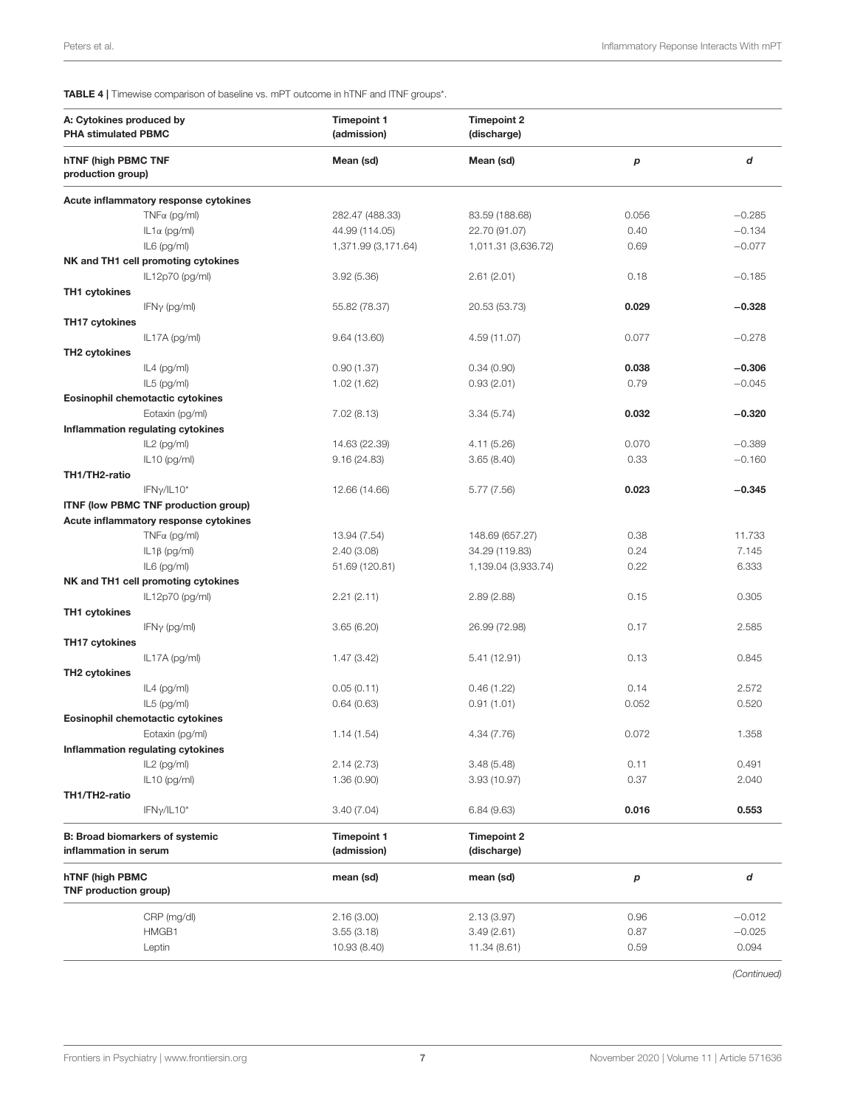<span id="page-6-0"></span>TABLE 4 | Timewise comparison of baseline vs. mPT outcome in hTNF and lTNF groups\*.

| A: Cytokines produced by<br><b>PHA stimulated PBMC</b>   | <b>Timepoint 1</b><br>(admission) | <b>Timepoint 2</b><br>(discharge) |       |          |
|----------------------------------------------------------|-----------------------------------|-----------------------------------|-------|----------|
| <b>hTNF (high PBMC TNF</b><br>production group)          | Mean (sd)                         | Mean (sd)                         | р     | d        |
| Acute inflammatory response cytokines                    |                                   |                                   |       |          |
| TNF $\alpha$ (pg/ml)                                     | 282.47 (488.33)                   | 83.59 (188.68)                    | 0.056 | $-0.285$ |
| $IL1\alpha$ (pg/ml)                                      | 44.99 (114.05)                    | 22.70 (91.07)                     | 0.40  | $-0.134$ |
| $IL6$ (pg/ml)                                            | 1,371.99 (3,171.64)               | 1,011.31 (3,636.72)               | 0.69  | $-0.077$ |
| NK and TH1 cell promoting cytokines                      |                                   |                                   |       |          |
| IL12p70 (pg/ml)                                          | 3.92(5.36)                        | 2.61(2.01)                        | 0.18  | $-0.185$ |
| <b>TH1 cytokines</b>                                     |                                   |                                   |       |          |
| $IFNY$ (pg/ml)                                           | 55.82 (78.37)                     | 20.53 (53.73)                     | 0.029 | $-0.328$ |
| <b>TH17 cytokines</b>                                    |                                   |                                   |       |          |
| IL17A (pg/ml)                                            | 9.64 (13.60)                      | 4.59 (11.07)                      | 0.077 | $-0.278$ |
| TH2 cytokines                                            |                                   |                                   |       |          |
| $IL4$ (pg/ml)                                            | 0.90(1.37)                        | 0.34(0.90)                        | 0.038 | $-0.306$ |
| $IL5$ (pg/ml)                                            | 1.02(1.62)                        | 0.93(2.01)                        | 0.79  | $-0.045$ |
| Eosinophil chemotactic cytokines                         |                                   |                                   |       |          |
| Eotaxin (pg/ml)                                          | 7.02 (8.13)                       | 3.34(5.74)                        | 0.032 | $-0.320$ |
| Inflammation regulating cytokines                        |                                   |                                   |       |          |
| IL2 (pg/ml)                                              | 14.63 (22.39)                     | 4.11(5.26)                        | 0.070 | $-0.389$ |
| $IL10$ (pg/ml)                                           | 9.16 (24.83)                      | 3.65(8.40)                        | 0.33  | $-0.160$ |
| TH1/TH2-ratio                                            |                                   |                                   |       |          |
| $IFN\gamma/IL10*$                                        | 12.66 (14.66)                     | 5.77 (7.56)                       | 0.023 | $-0.345$ |
| ITNF (low PBMC TNF production group)                     |                                   |                                   |       |          |
| Acute inflammatory response cytokines                    |                                   |                                   |       |          |
| TNF $\alpha$ (pg/ml)                                     | 13.94 (7.54)                      | 148.69 (657.27)                   | 0.38  | 11.733   |
| $IL1\beta$ (pg/ml)                                       | 2.40 (3.08)                       | 34.29 (119.83)                    | 0.24  | 7.145    |
| $IL6$ (pg/ml)                                            | 51.69 (120.81)                    | 1,139.04 (3,933.74)               | 0.22  | 6.333    |
| NK and TH1 cell promoting cytokines                      |                                   |                                   |       |          |
| IL12p70 (pg/ml)                                          | 2.21(2.11)                        | 2.89(2.88)                        | 0.15  | 0.305    |
| <b>TH1 cytokines</b>                                     |                                   |                                   |       |          |
| $\textsf{IFN}\gamma$ (pg/ml)                             | 3.65(6.20)                        | 26.99 (72.98)                     | 0.17  | 2.585    |
| <b>TH17 cytokines</b>                                    |                                   |                                   |       |          |
| IL17A (pg/ml)                                            | 1.47(3.42)                        | 5.41 (12.91)                      | 0.13  | 0.845    |
| TH2 cytokines                                            |                                   |                                   |       |          |
| $IL4$ (pg/ml)                                            | 0.05(0.11)                        | 0.46(1.22)                        | 0.14  | 2.572    |
| $IL5$ (pg/ml)                                            | 0.64(0.63)                        | 0.91(1.01)                        | 0.052 | 0.520    |
| Eosinophil chemotactic cytokines                         |                                   |                                   |       |          |
| Eotaxin (pg/ml)                                          | 1.14(1.54)                        | 4.34 (7.76)                       | 0.072 | 1.358    |
| Inflammation regulating cytokines                        |                                   |                                   |       |          |
| $IL2$ (pg/ml)                                            | 2.14(2.73)                        | 3.48(5.48)                        | 0.11  | 0.491    |
| $IL10$ (pg/ml)                                           | 1.36(0.90)                        | 3.93(10.97)                       | 0.37  | 2.040    |
| TH1/TH2-ratio                                            |                                   |                                   |       |          |
| $IFN\gamma/IL10*$                                        | 3.40 (7.04)                       | 6.84(9.63)                        | 0.016 | 0.553    |
| B: Broad biomarkers of systemic<br>inflammation in serum | <b>Timepoint 1</b><br>(admission) | <b>Timepoint 2</b><br>(discharge) |       |          |
| <b>hTNF (high PBMC</b><br><b>TNF production group)</b>   | mean (sd)                         | mean (sd)                         | р     | d        |
|                                                          |                                   |                                   |       |          |
| CRP (mg/dl)                                              | 2.16 (3.00)                       | 2.13(3.97)                        | 0.96  | $-0.012$ |
| HMGB1                                                    | 3.55(3.18)                        | 3.49(2.61)                        | 0.87  | $-0.025$ |
| Leptin                                                   | 10.93 (8.40)                      | 11.34 (8.61)                      | 0.59  | 0.094    |

(Continued)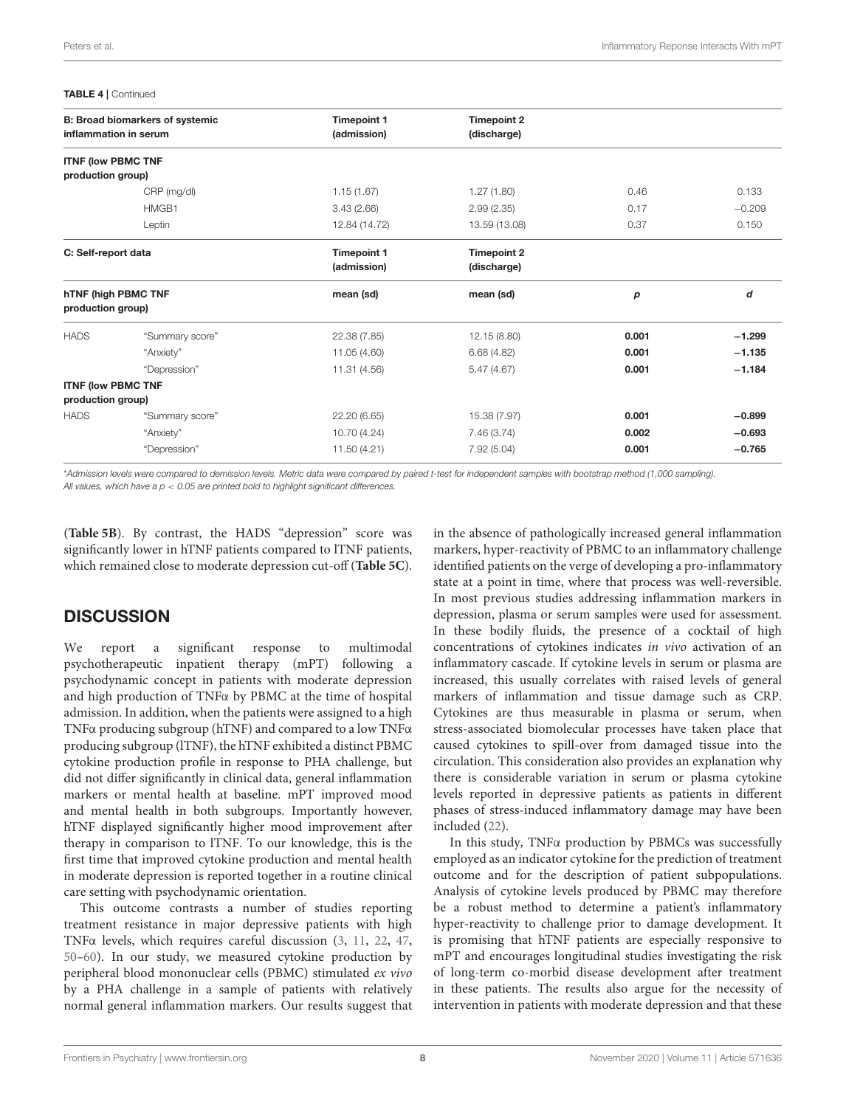#### TABLE 4 | Continued

|                                                | B: Broad biomarkers of systemic<br>inflammation in serum | <b>Timepoint 1</b><br>(admission) | <b>Timepoint 2</b><br>(discharge) |       |          |
|------------------------------------------------|----------------------------------------------------------|-----------------------------------|-----------------------------------|-------|----------|
| <b>ITNF (low PBMC TNF</b>                      |                                                          |                                   |                                   |       |          |
| production group)                              |                                                          |                                   |                                   |       |          |
|                                                | CRP (mg/dl)                                              | 1.15(1.67)                        | 1.27(1.80)                        | 0.46  | 0.133    |
|                                                | HMGB1                                                    | 3.43(2.66)                        | 2.99(2.35)                        | 0.17  | $-0.209$ |
|                                                | Leptin                                                   | 12.84 (14.72)                     | 13.59 (13.08)                     | 0.37  | 0.150    |
| C: Self-report data                            |                                                          | <b>Timepoint 1</b><br>(admission) | <b>Timepoint 2</b><br>(discharge) |       |          |
| production group)                              | <b>hTNF (high PBMC TNF</b>                               | mean (sd)                         | mean (sd)                         | p     | d        |
| <b>HADS</b>                                    | "Summary score"                                          | 22.38 (7.85)                      | 12.15 (8.80)                      | 0.001 | $-1.299$ |
|                                                | "Anxiety"                                                | 11.05 (4.60)                      | 6.68(4.82)                        | 0.001 | $-1.135$ |
|                                                | "Depression"                                             | 11.31 (4.56)                      | 5.47(4.67)                        | 0.001 | $-1.184$ |
| <b>ITNF (low PBMC TNF</b><br>production group) |                                                          |                                   |                                   |       |          |
| <b>HADS</b>                                    | "Summary score"                                          | 22.20 (6.65)                      | 15.38 (7.97)                      | 0.001 | $-0.899$ |
|                                                | "Anxiety"                                                | 10.70 (4.24)                      | 7.46 (3.74)                       | 0.002 | $-0.693$ |
|                                                | "Depression"                                             | 11.50 (4.21)                      | 7.92(5.04)                        | 0.001 | $-0.765$ |

\*Admission levels were compared to demission levels. Metric data were compared by paired t-test for independent samples with bootstrap method (1,000 sampling). All values, which have a  $p < 0.05$  are printed bold to highlight significant differences.

(**[Table 5B](#page-9-0)**). By contrast, the HADS "depression" score was significantly lower in hTNF patients compared to lTNF patients, which remained close to moderate depression cut-off (**[Table 5C](#page-9-0)**).

#### **DISCUSSION**

We report a significant response to multimodal psychotherapeutic inpatient therapy (mPT) following a psychodynamic concept in patients with moderate depression and high production of TNFα by PBMC at the time of hospital admission. In addition, when the patients were assigned to a high TNFα producing subgroup (hTNF) and compared to a low TNFα producing subgroup (lTNF), the hTNF exhibited a distinct PBMC cytokine production profile in response to PHA challenge, but did not differ significantly in clinical data, general inflammation markers or mental health at baseline. mPT improved mood and mental health in both subgroups. Importantly however, hTNF displayed significantly higher mood improvement after therapy in comparison to lTNF. To our knowledge, this is the first time that improved cytokine production and mental health in moderate depression is reported together in a routine clinical care setting with psychodynamic orientation.

This outcome contrasts a number of studies reporting treatment resistance in major depressive patients with high TNFα levels, which requires careful discussion [\(3,](#page-10-1) [11,](#page-11-6) [22,](#page-11-5) [47,](#page-12-4) [50–](#page-12-5)[60\)](#page-12-6). In our study, we measured cytokine production by peripheral blood mononuclear cells (PBMC) stimulated ex vivo by a PHA challenge in a sample of patients with relatively normal general inflammation markers. Our results suggest that

in the absence of pathologically increased general inflammation markers, hyper-reactivity of PBMC to an inflammatory challenge identified patients on the verge of developing a pro-inflammatory state at a point in time, where that process was well-reversible. In most previous studies addressing inflammation markers in depression, plasma or serum samples were used for assessment. In these bodily fluids, the presence of a cocktail of high concentrations of cytokines indicates in vivo activation of an inflammatory cascade. If cytokine levels in serum or plasma are increased, this usually correlates with raised levels of general markers of inflammation and tissue damage such as CRP. Cytokines are thus measurable in plasma or serum, when stress-associated biomolecular processes have taken place that caused cytokines to spill-over from damaged tissue into the circulation. This consideration also provides an explanation why there is considerable variation in serum or plasma cytokine levels reported in depressive patients as patients in different phases of stress-induced inflammatory damage may have been included [\(22\)](#page-11-5).

In this study, TNFα production by PBMCs was successfully employed as an indicator cytokine for the prediction of treatment outcome and for the description of patient subpopulations. Analysis of cytokine levels produced by PBMC may therefore be a robust method to determine a patient's inflammatory hyper-reactivity to challenge prior to damage development. It is promising that hTNF patients are especially responsive to mPT and encourages longitudinal studies investigating the risk of long-term co-morbid disease development after treatment in these patients. The results also argue for the necessity of intervention in patients with moderate depression and that these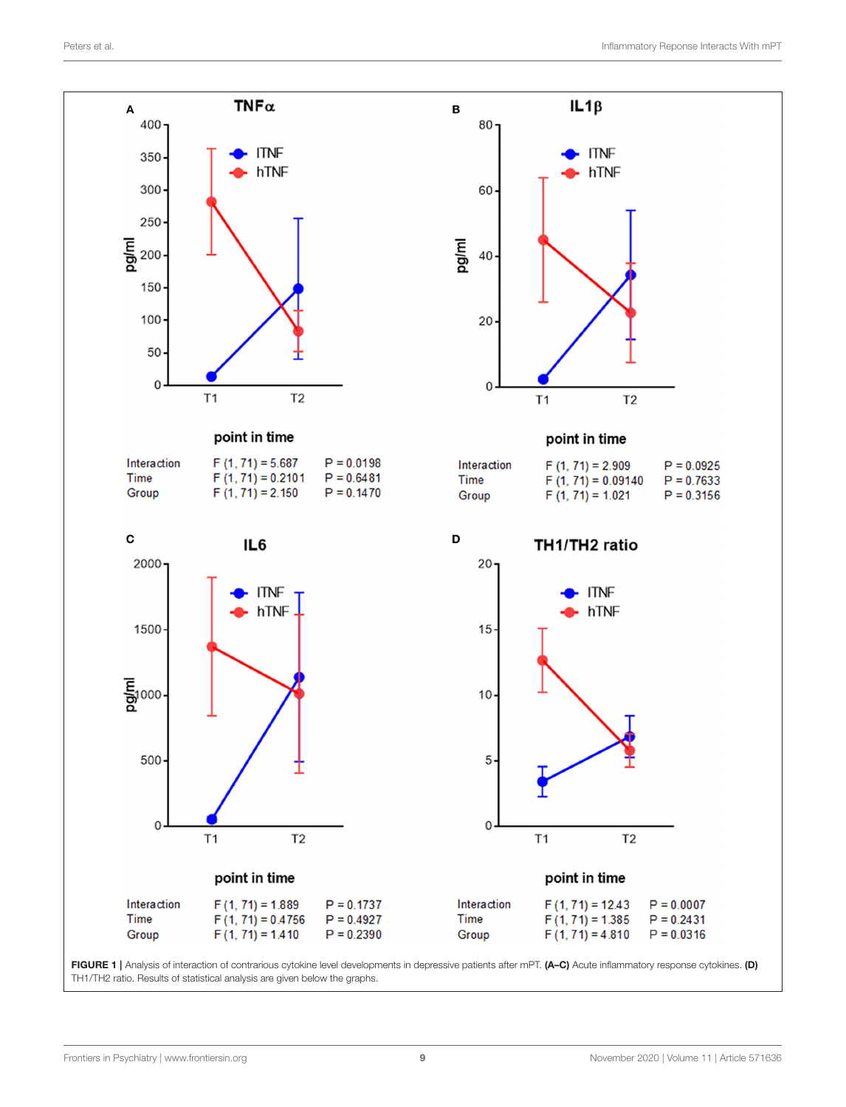<span id="page-8-0"></span>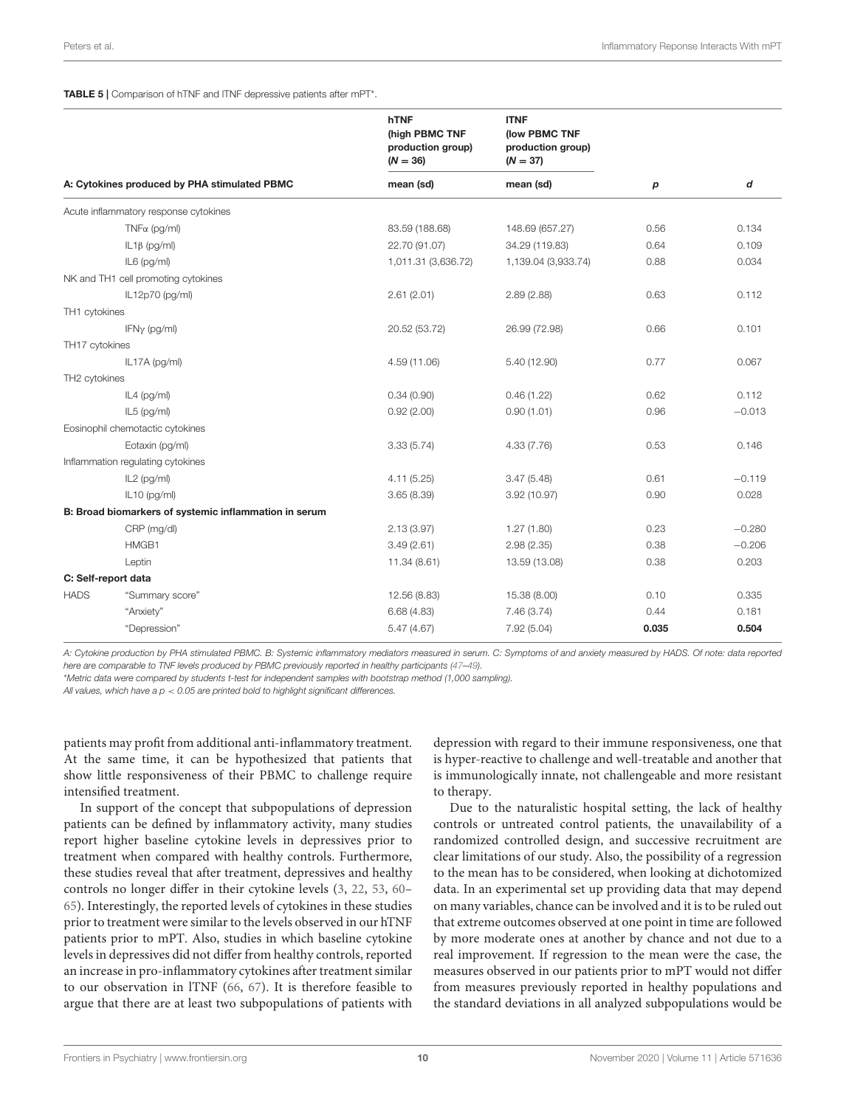#### <span id="page-9-0"></span>TABLE 5 | Comparison of hTNF and lTNF depressive patients after mPT\*.

|                                              |                                                       | hTNF<br>(high PBMC TNF<br>production group)<br>$(N = 36)$ | <b>ITNF</b><br>(low PBMC TNF<br>production group)<br>$(N = 37)$ |       |          |
|----------------------------------------------|-------------------------------------------------------|-----------------------------------------------------------|-----------------------------------------------------------------|-------|----------|
| A: Cytokines produced by PHA stimulated PBMC |                                                       | mean (sd)                                                 | mean (sd)                                                       | p     | d        |
|                                              | Acute inflammatory response cytokines                 |                                                           |                                                                 |       |          |
|                                              | $TNF\alpha$ (pg/ml)                                   | 83.59 (188.68)                                            | 148.69 (657.27)                                                 | 0.56  | 0.134    |
|                                              | $IL1\beta$ (pg/ml)                                    | 22.70 (91.07)                                             | 34.29 (119.83)                                                  | 0.64  | 0.109    |
|                                              | IL6 (pg/ml)                                           | 1,011.31 (3,636.72)                                       | 1,139.04 (3,933.74)                                             | 0.88  | 0.034    |
|                                              | NK and TH1 cell promoting cytokines                   |                                                           |                                                                 |       |          |
|                                              | IL12p70 (pg/ml)                                       | 2.61(2.01)                                                | 2.89(2.88)                                                      | 0.63  | 0.112    |
| TH1 cytokines                                |                                                       |                                                           |                                                                 |       |          |
|                                              | $IFNY$ (pg/ml)                                        | 20.52 (53.72)                                             | 26.99 (72.98)                                                   | 0.66  | 0.101    |
| TH17 cytokines                               |                                                       |                                                           |                                                                 |       |          |
|                                              | IL17A (pg/ml)                                         | 4.59 (11.06)                                              | 5.40 (12.90)                                                    | 0.77  | 0.067    |
| TH2 cytokines                                |                                                       |                                                           |                                                                 |       |          |
|                                              | $IL4$ (pg/ml)                                         | 0.34(0.90)                                                | 0.46(1.22)                                                      | 0.62  | 0.112    |
|                                              | $IL5$ (pg/ml)                                         | 0.92(2.00)                                                | 0.90(1.01)                                                      | 0.96  | $-0.013$ |
|                                              | Eosinophil chemotactic cytokines                      |                                                           |                                                                 |       |          |
|                                              | Eotaxin (pg/ml)                                       | 3.33(5.74)                                                | 4.33(7.76)                                                      | 0.53  | 0.146    |
|                                              | Inflammation regulating cytokines                     |                                                           |                                                                 |       |          |
|                                              | $IL2$ (pg/ml)                                         | 4.11(5.25)                                                | 3.47(5.48)                                                      | 0.61  | $-0.119$ |
|                                              | $IL10$ (pg/ml)                                        | 3.65(8.39)                                                | 3.92 (10.97)                                                    | 0.90  | 0.028    |
|                                              | B: Broad biomarkers of systemic inflammation in serum |                                                           |                                                                 |       |          |
|                                              | CRP (mg/dl)                                           | 2.13(3.97)                                                | 1.27(1.80)                                                      | 0.23  | $-0.280$ |
|                                              | HMGB1                                                 | 3.49(2.61)                                                | 2.98(2.35)                                                      | 0.38  | $-0.206$ |
|                                              | Leptin                                                | 11.34 (8.61)                                              | 13.59 (13.08)                                                   | 0.38  | 0.203    |
|                                              | C: Self-report data                                   |                                                           |                                                                 |       |          |
| <b>HADS</b>                                  | "Summary score"                                       | 12.56 (8.83)                                              | 15.38 (8.00)                                                    | 0.10  | 0.335    |
|                                              | "Anxiety"                                             | 6.68(4.83)                                                | 7.46 (3.74)                                                     | 0.44  | 0.181    |
|                                              | "Depression"                                          | 5.47(4.67)                                                | 7.92 (5.04)                                                     | 0.035 | 0.504    |

A: Cytokine production by PHA stimulated PBMC. B: Systemic inflammatory mediators measured in serum. C: Symptoms of and anxiety measured by HADS. Of note: data reported here are comparable to TNF levels produced by PBMC previously reported in healthy participants [\(47](#page-12-4)[–49\)](#page-12-7).

\*Metric data were compared by students t-test for independent samples with bootstrap method (1,000 sampling).

All values, which have a  $p < 0.05$  are printed bold to highlight significant differences.

patients may profit from additional anti-inflammatory treatment. At the same time, it can be hypothesized that patients that show little responsiveness of their PBMC to challenge require intensified treatment.

In support of the concept that subpopulations of depression patients can be defined by inflammatory activity, many studies report higher baseline cytokine levels in depressives prior to treatment when compared with healthy controls. Furthermore, these studies reveal that after treatment, depressives and healthy controls no longer differ in their cytokine levels [\(3,](#page-10-1) [22,](#page-11-5) [53,](#page-12-8) [60–](#page-12-6) [65\)](#page-12-9). Interestingly, the reported levels of cytokines in these studies prior to treatment were similar to the levels observed in our hTNF patients prior to mPT. Also, studies in which baseline cytokine levels in depressives did not differ from healthy controls, reported an increase in pro-inflammatory cytokines after treatment similar to our observation in lTNF [\(66,](#page-12-10) [67\)](#page-12-11). It is therefore feasible to argue that there are at least two subpopulations of patients with

depression with regard to their immune responsiveness, one that is hyper-reactive to challenge and well-treatable and another that is immunologically innate, not challengeable and more resistant to therapy.

Due to the naturalistic hospital setting, the lack of healthy controls or untreated control patients, the unavailability of a randomized controlled design, and successive recruitment are clear limitations of our study. Also, the possibility of a regression to the mean has to be considered, when looking at dichotomized data. In an experimental set up providing data that may depend on many variables, chance can be involved and it is to be ruled out that extreme outcomes observed at one point in time are followed by more moderate ones at another by chance and not due to a real improvement. If regression to the mean were the case, the measures observed in our patients prior to mPT would not differ from measures previously reported in healthy populations and the standard deviations in all analyzed subpopulations would be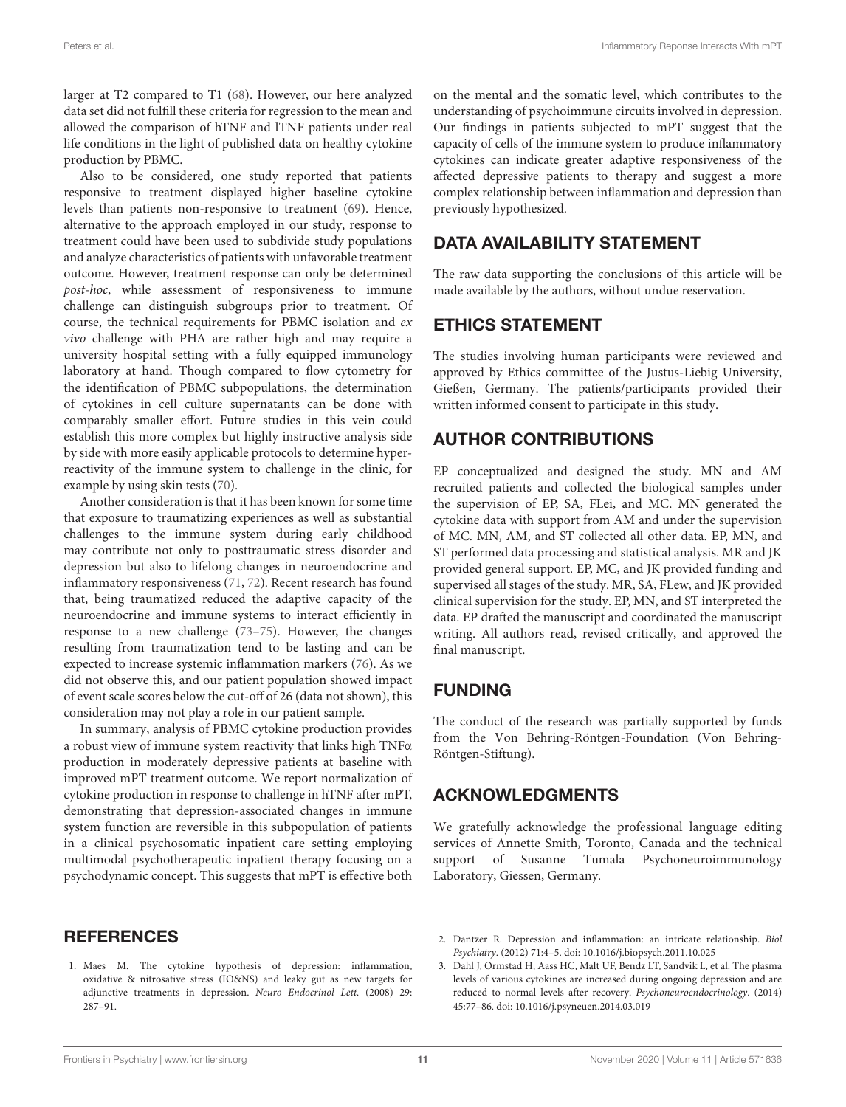larger at T2 compared to T1 [\(68\)](#page-12-12). However, our here analyzed data set did not fulfill these criteria for regression to the mean and allowed the comparison of hTNF and lTNF patients under real life conditions in the light of published data on healthy cytokine production by PBMC.

Also to be considered, one study reported that patients responsive to treatment displayed higher baseline cytokine levels than patients non-responsive to treatment [\(69\)](#page-12-13). Hence, alternative to the approach employed in our study, response to treatment could have been used to subdivide study populations and analyze characteristics of patients with unfavorable treatment outcome. However, treatment response can only be determined post-hoc, while assessment of responsiveness to immune challenge can distinguish subgroups prior to treatment. Of course, the technical requirements for PBMC isolation and ex vivo challenge with PHA are rather high and may require a university hospital setting with a fully equipped immunology laboratory at hand. Though compared to flow cytometry for the identification of PBMC subpopulations, the determination of cytokines in cell culture supernatants can be done with comparably smaller effort. Future studies in this vein could establish this more complex but highly instructive analysis side by side with more easily applicable protocols to determine hyperreactivity of the immune system to challenge in the clinic, for example by using skin tests [\(70\)](#page-12-14).

Another consideration is that it has been known for some time that exposure to traumatizing experiences as well as substantial challenges to the immune system during early childhood may contribute not only to posttraumatic stress disorder and depression but also to lifelong changes in neuroendocrine and inflammatory responsiveness [\(71,](#page-12-15) [72\)](#page-12-16). Recent research has found that, being traumatized reduced the adaptive capacity of the neuroendocrine and immune systems to interact efficiently in response to a new challenge [\(73–](#page-12-17)[75\)](#page-12-18). However, the changes resulting from traumatization tend to be lasting and can be expected to increase systemic inflammation markers [\(76\)](#page-12-19). As we did not observe this, and our patient population showed impact of event scale scores below the cut-off of 26 (data not shown), this consideration may not play a role in our patient sample.

In summary, analysis of PBMC cytokine production provides a robust view of immune system reactivity that links high TNFα production in moderately depressive patients at baseline with improved mPT treatment outcome. We report normalization of cytokine production in response to challenge in hTNF after mPT, demonstrating that depression-associated changes in immune system function are reversible in this subpopulation of patients in a clinical psychosomatic inpatient care setting employing multimodal psychotherapeutic inpatient therapy focusing on a psychodynamic concept. This suggests that mPT is effective both

#### **REFERENCES**

<span id="page-10-0"></span>1. Maes M. The cytokine hypothesis of depression: inflammation, oxidative & nitrosative stress (IO&NS) and leaky gut as new targets for adjunctive treatments in depression. Neuro Endocrinol Lett. (2008) 29: 287–91.

on the mental and the somatic level, which contributes to the understanding of psychoimmune circuits involved in depression. Our findings in patients subjected to mPT suggest that the capacity of cells of the immune system to produce inflammatory cytokines can indicate greater adaptive responsiveness of the affected depressive patients to therapy and suggest a more complex relationship between inflammation and depression than previously hypothesized.

# DATA AVAILABILITY STATEMENT

The raw data supporting the conclusions of this article will be made available by the authors, without undue reservation.

# ETHICS STATEMENT

The studies involving human participants were reviewed and approved by Ethics committee of the Justus-Liebig University, Gießen, Germany. The patients/participants provided their written informed consent to participate in this study.

# AUTHOR CONTRIBUTIONS

EP conceptualized and designed the study. MN and AM recruited patients and collected the biological samples under the supervision of EP, SA, FLei, and MC. MN generated the cytokine data with support from AM and under the supervision of MC. MN, AM, and ST collected all other data. EP, MN, and ST performed data processing and statistical analysis. MR and JK provided general support. EP, MC, and JK provided funding and supervised all stages of the study. MR, SA, FLew, and JK provided clinical supervision for the study. EP, MN, and ST interpreted the data. EP drafted the manuscript and coordinated the manuscript writing. All authors read, revised critically, and approved the final manuscript.

### FUNDING

The conduct of the research was partially supported by funds from the Von Behring-Röntgen-Foundation (Von Behring-Röntgen-Stiftung).

### ACKNOWLEDGMENTS

We gratefully acknowledge the professional language editing services of Annette Smith, Toronto, Canada and the technical support of Susanne Tumala Psychoneuroimmunology Laboratory, Giessen, Germany.

- 2. Dantzer R. Depression and inflammation: an intricate relationship. Biol Psychiatry. (2012) 71:4–5. doi: [10.1016/j.biopsych.2011.10.025](https://doi.org/10.1016/j.biopsych.2011.10.025)
- <span id="page-10-1"></span>3. Dahl J, Ormstad H, Aass HC, Malt UF, Bendz LT, Sandvik L, et al. The plasma levels of various cytokines are increased during ongoing depression and are reduced to normal levels after recovery. Psychoneuroendocrinology. (2014) 45:77–86. doi: [10.1016/j.psyneuen.2014.03.019](https://doi.org/10.1016/j.psyneuen.2014.03.019)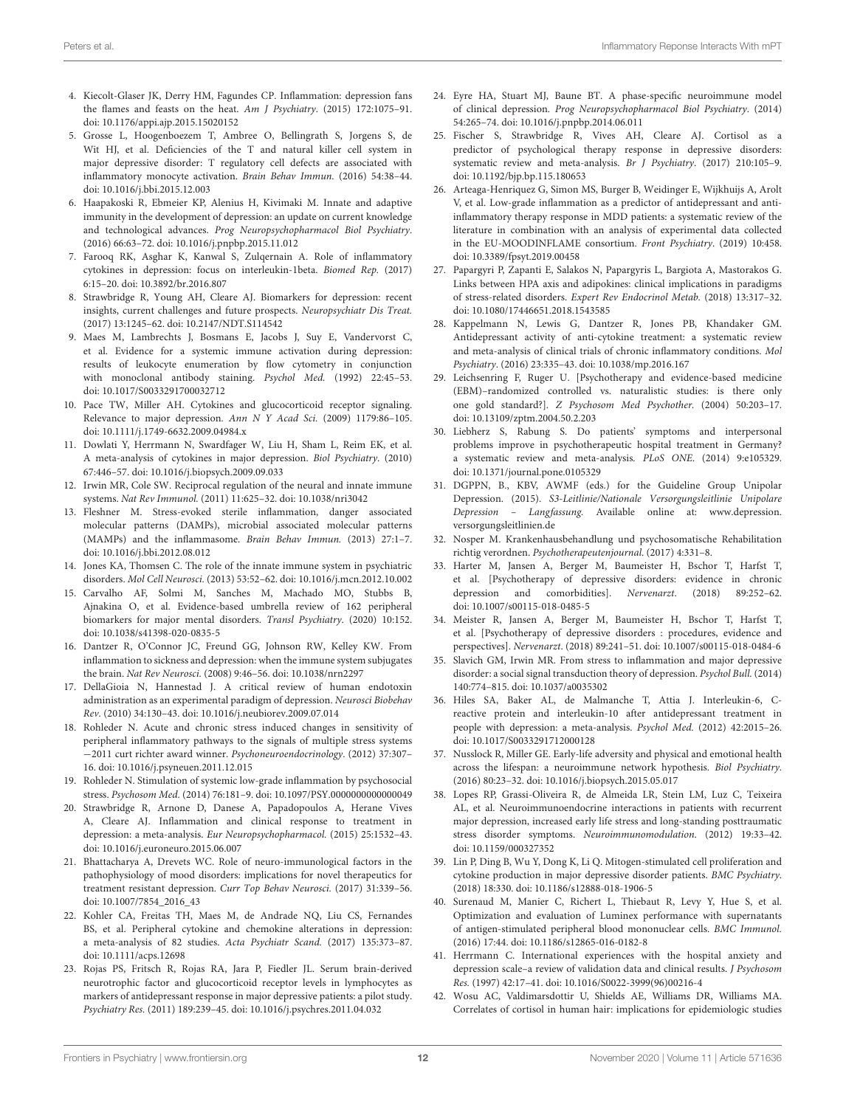- 4. Kiecolt-Glaser JK, Derry HM, Fagundes CP. Inflammation: depression fans the flames and feasts on the heat. Am J Psychiatry. (2015) 172:1075–91. doi: [10.1176/appi.ajp.2015.15020152](https://doi.org/10.1176/appi.ajp.2015.15020152)
- 5. Grosse L, Hoogenboezem T, Ambree O, Bellingrath S, Jorgens S, de Wit HJ, et al. Deficiencies of the T and natural killer cell system in major depressive disorder: T regulatory cell defects are associated with inflammatory monocyte activation. Brain Behav Immun. (2016) 54:38–44. doi: [10.1016/j.bbi.2015.12.003](https://doi.org/10.1016/j.bbi.2015.12.003)
- 6. Haapakoski R, Ebmeier KP, Alenius H, Kivimaki M. Innate and adaptive immunity in the development of depression: an update on current knowledge and technological advances. Prog Neuropsychopharmacol Biol Psychiatry. (2016) 66:63–72. doi: [10.1016/j.pnpbp.2015.11.012](https://doi.org/10.1016/j.pnpbp.2015.11.012)
- 7. Farooq RK, Asghar K, Kanwal S, Zulqernain A. Role of inflammatory cytokines in depression: focus on interleukin-1beta. Biomed Rep. (2017) 6:15–20. doi: [10.3892/br.2016.807](https://doi.org/10.3892/br.2016.807)
- <span id="page-11-0"></span>8. Strawbridge R, Young AH, Cleare AJ. Biomarkers for depression: recent insights, current challenges and future prospects. Neuropsychiatr Dis Treat. (2017) 13:1245–62. doi: [10.2147/NDT.S114542](https://doi.org/10.2147/NDT.S114542)
- <span id="page-11-1"></span>9. Maes M, Lambrechts J, Bosmans E, Jacobs J, Suy E, Vandervorst C, et al. Evidence for a systemic immune activation during depression: results of leukocyte enumeration by flow cytometry in conjunction with monoclonal antibody staining. Psychol Med. (1992) 22:45–53. doi: [10.1017/S0033291700032712](https://doi.org/10.1017/S0033291700032712)
- 10. Pace TW, Miller AH. Cytokines and glucocorticoid receptor signaling. Relevance to major depression. Ann N Y Acad Sci. (2009) 1179:86–105. doi: [10.1111/j.1749-6632.2009.04984.x](https://doi.org/10.1111/j.1749-6632.2009.04984.x)
- <span id="page-11-6"></span>11. Dowlati Y, Herrmann N, Swardfager W, Liu H, Sham L, Reim EK, et al. A meta-analysis of cytokines in major depression. Biol Psychiatry. (2010) 67:446–57. doi: [10.1016/j.biopsych.2009.09.033](https://doi.org/10.1016/j.biopsych.2009.09.033)
- 12. Irwin MR, Cole SW. Reciprocal regulation of the neural and innate immune systems. Nat Rev Immunol. (2011) 11:625–32. doi: [10.1038/nri3042](https://doi.org/10.1038/nri3042)
- 13. Fleshner M. Stress-evoked sterile inflammation, danger associated molecular patterns (DAMPs), microbial associated molecular patterns (MAMPs) and the inflammasome. Brain Behav Immun. (2013) 27:1–7. doi: [10.1016/j.bbi.2012.08.012](https://doi.org/10.1016/j.bbi.2012.08.012)
- <span id="page-11-2"></span>14. Jones KA, Thomsen C. The role of the innate immune system in psychiatric disorders. Mol Cell Neurosci. (2013) 53:52–62. doi: [10.1016/j.mcn.2012.10.002](https://doi.org/10.1016/j.mcn.2012.10.002)
- <span id="page-11-3"></span>15. Carvalho AF, Solmi M, Sanches M, Machado MO, Stubbs B, Ajnakina O, et al. Evidence-based umbrella review of 162 peripheral biomarkers for major mental disorders. Transl Psychiatry. (2020) 10:152. doi: [10.1038/s41398-020-0835-5](https://doi.org/10.1038/s41398-020-0835-5)
- <span id="page-11-4"></span>16. Dantzer R, O'Connor JC, Freund GG, Johnson RW, Kelley KW. From inflammation to sickness and depression: when the immune system subjugates the brain. Nat Rev Neurosci. (2008) 9:46–56. doi: [10.1038/nrn2297](https://doi.org/10.1038/nrn2297)
- 17. DellaGioia N, Hannestad J. A critical review of human endotoxin administration as an experimental paradigm of depression. Neurosci Biobehav Rev. (2010) 34:130–43. doi: [10.1016/j.neubiorev.2009.07.014](https://doi.org/10.1016/j.neubiorev.2009.07.014)
- 18. Rohleder N. Acute and chronic stress induced changes in sensitivity of peripheral inflammatory pathways to the signals of multiple stress systems −2011 curt richter award winner. Psychoneuroendocrinology. (2012) 37:307– 16. doi: [10.1016/j.psyneuen.2011.12.015](https://doi.org/10.1016/j.psyneuen.2011.12.015)
- 19. Rohleder N. Stimulation of systemic low-grade inflammation by psychosocial stress. Psychosom Med. (2014) 76:181–9. doi: [10.1097/PSY.0000000000000049](https://doi.org/10.1097/PSY.0000000000000049)
- <span id="page-11-7"></span>20. Strawbridge R, Arnone D, Danese A, Papadopoulos A, Herane Vives A, Cleare AJ. Inflammation and clinical response to treatment in depression: a meta-analysis. Eur Neuropsychopharmacol. (2015) 25:1532–43. doi: [10.1016/j.euroneuro.2015.06.007](https://doi.org/10.1016/j.euroneuro.2015.06.007)
- <span id="page-11-10"></span>21. Bhattacharya A, Drevets WC. Role of neuro-immunological factors in the pathophysiology of mood disorders: implications for novel therapeutics for treatment resistant depression. Curr Top Behav Neurosci. (2017) 31:339–56. doi: [10.1007/7854\\_2016\\_43](https://doi.org/10.1007/7854_2016_43)
- <span id="page-11-5"></span>22. Kohler CA, Freitas TH, Maes M, de Andrade NQ, Liu CS, Fernandes BS, et al. Peripheral cytokine and chemokine alterations in depression: a meta-analysis of 82 studies. Acta Psychiatr Scand. (2017) 135:373–87. doi: [10.1111/acps.12698](https://doi.org/10.1111/acps.12698)
- 23. Rojas PS, Fritsch R, Rojas RA, Jara P, Fiedler JL. Serum brain-derived neurotrophic factor and glucocorticoid receptor levels in lymphocytes as markers of antidepressant response in major depressive patients: a pilot study. Psychiatry Res. (2011) 189:239–45. doi: [10.1016/j.psychres.2011.04.032](https://doi.org/10.1016/j.psychres.2011.04.032)
- 24. Eyre HA, Stuart MJ, Baune BT. A phase-specific neuroimmune model of clinical depression. Prog Neuropsychopharmacol Biol Psychiatry. (2014) 54:265–74. doi: [10.1016/j.pnpbp.2014.06.011](https://doi.org/10.1016/j.pnpbp.2014.06.011)
- 25. Fischer S, Strawbridge R, Vives AH, Cleare AJ. Cortisol as a predictor of psychological therapy response in depressive disorders: systematic review and meta-analysis. Br J Psychiatry. (2017) 210:105–9. doi: [10.1192/bjp.bp.115.180653](https://doi.org/10.1192/bjp.bp.115.180653)
- <span id="page-11-8"></span>26. Arteaga-Henriquez G, Simon MS, Burger B, Weidinger E, Wijkhuijs A, Arolt V, et al. Low-grade inflammation as a predictor of antidepressant and antiinflammatory therapy response in MDD patients: a systematic review of the literature in combination with an analysis of experimental data collected in the EU-MOODINFLAME consortium. Front Psychiatry. (2019) 10:458. doi: [10.3389/fpsyt.2019.00458](https://doi.org/10.3389/fpsyt.2019.00458)
- <span id="page-11-9"></span>27. Papargyri P, Zapanti E, Salakos N, Papargyris L, Bargiota A, Mastorakos G. Links between HPA axis and adipokines: clinical implications in paradigms of stress-related disorders. Expert Rev Endocrinol Metab. (2018) 13:317–32. doi: [10.1080/17446651.2018.1543585](https://doi.org/10.1080/17446651.2018.1543585)
- <span id="page-11-11"></span>28. Kappelmann N, Lewis G, Dantzer R, Jones PB, Khandaker GM. Antidepressant activity of anti-cytokine treatment: a systematic review and meta-analysis of clinical trials of chronic inflammatory conditions. Mol Psychiatry. (2016) 23:335–43. doi: [10.1038/mp.2016.167](https://doi.org/10.1038/mp.2016.167)
- <span id="page-11-12"></span>29. Leichsenring F, Ruger U. [Psychotherapy and evidence-based medicine (EBM)–randomized controlled vs. naturalistic studies: is there only one gold standard?]. Z Psychosom Med Psychother. (2004) 50:203–17. doi: [10.13109/zptm.2004.50.2.203](https://doi.org/10.13109/zptm.2004.50.2.203)
- <span id="page-11-13"></span>30. Liebherz S, Rabung S. Do patients' symptoms and interpersonal problems improve in psychotherapeutic hospital treatment in Germany? a systematic review and meta-analysis. PLoS ONE. (2014) 9:e105329. doi: [10.1371/journal.pone.0105329](https://doi.org/10.1371/journal.pone.0105329)
- 31. DGPPN, B., KBV, AWMF (eds.) for the Guideline Group Unipolar Depression. (2015). S3-Leitlinie/Nationale Versorgungsleitlinie Unipolare Depression – Langfassung. Available online at: [www.depression.](www.depression.versorgungsleitlinien.de) [versorgungsleitlinien.de](www.depression.versorgungsleitlinien.de)
- <span id="page-11-17"></span>32. Nosper M. Krankenhausbehandlung und psychosomatische Rehabilitation richtig verordnen. Psychotherapeutenjournal. (2017) 4:331–8.
- 33. Harter M, Jansen A, Berger M, Baumeister H, Bschor T, Harfst T, et al. [Psychotherapy of depressive disorders: evidence in chronic depression and comorbidities]. Nervenarzt. (2018) 89:252–62. doi: [10.1007/s00115-018-0485-5](https://doi.org/10.1007/s00115-018-0485-5)
- <span id="page-11-14"></span>34. Meister R, Jansen A, Berger M, Baumeister H, Bschor T, Harfst T, et al. [Psychotherapy of depressive disorders : procedures, evidence and perspectives]. Nervenarzt. (2018) 89:241–51. doi: [10.1007/s00115-018-0484-6](https://doi.org/10.1007/s00115-018-0484-6)
- <span id="page-11-15"></span>35. Slavich GM, Irwin MR. From stress to inflammation and major depressive disorder: a social signal transduction theory of depression. Psychol Bull. (2014) 140:774–815. doi: [10.1037/a0035302](https://doi.org/10.1037/a0035302)
- 36. Hiles SA, Baker AL, de Malmanche T, Attia J. Interleukin-6, Creactive protein and interleukin-10 after antidepressant treatment in people with depression: a meta-analysis. Psychol Med. (2012) 42:2015–26. doi: [10.1017/S0033291712000128](https://doi.org/10.1017/S0033291712000128)
- <span id="page-11-16"></span>37. Nusslock R, Miller GE. Early-life adversity and physical and emotional health across the lifespan: a neuroimmune network hypothesis. Biol Psychiatry. (2016) 80:23–32. doi: [10.1016/j.biopsych.2015.05.017](https://doi.org/10.1016/j.biopsych.2015.05.017)
- <span id="page-11-18"></span>38. Lopes RP, Grassi-Oliveira R, de Almeida LR, Stein LM, Luz C, Teixeira AL, et al. Neuroimmunoendocrine interactions in patients with recurrent major depression, increased early life stress and long-standing posttraumatic stress disorder symptoms. Neuroimmunomodulation. (2012) 19:33–42. doi: [10.1159/000327352](https://doi.org/10.1159/000327352)
- <span id="page-11-19"></span>39. Lin P, Ding B, Wu Y, Dong K, Li Q. Mitogen-stimulated cell proliferation and cytokine production in major depressive disorder patients. BMC Psychiatry. (2018) 18:330. doi: [10.1186/s12888-018-1906-5](https://doi.org/10.1186/s12888-018-1906-5)
- <span id="page-11-20"></span>40. Surenaud M, Manier C, Richert L, Thiebaut R, Levy Y, Hue S, et al. Optimization and evaluation of Luminex performance with supernatants of antigen-stimulated peripheral blood mononuclear cells. BMC Immunol. (2016) 17:44. doi: [10.1186/s12865-016-0182-8](https://doi.org/10.1186/s12865-016-0182-8)
- <span id="page-11-21"></span>41. Herrmann C. International experiences with the hospital anxiety and depression scale–a review of validation data and clinical results. J Psychosom Res. (1997) 42:17–41. doi: [10.1016/S0022-3999\(96\)00216-4](https://doi.org/10.1016/S0022-3999(96)00216-4)
- <span id="page-11-22"></span>42. Wosu AC, Valdimarsdottir U, Shields AE, Williams DR, Williams MA. Correlates of cortisol in human hair: implications for epidemiologic studies